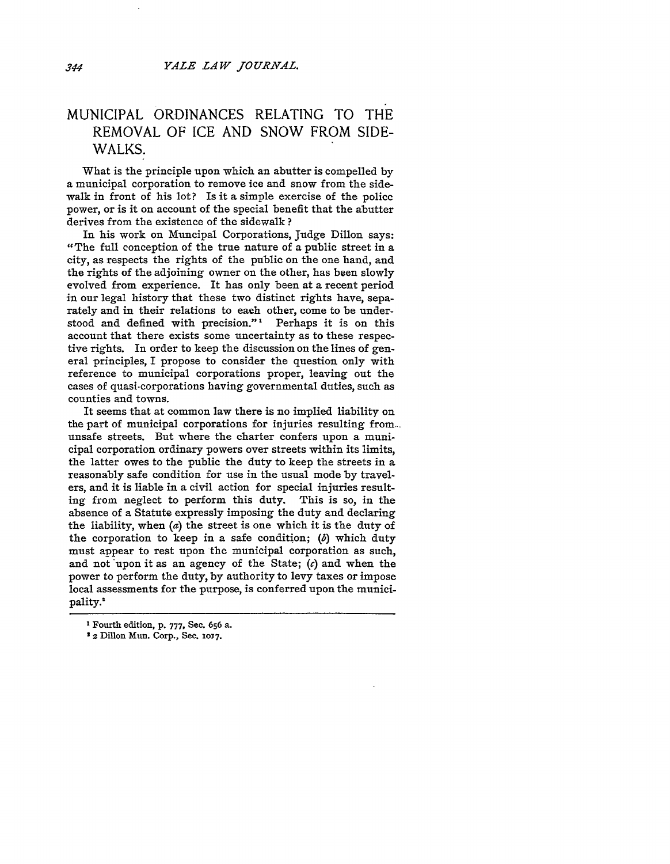## MUNICIPAL ORDINANCES RELATING TO THE REMOVAL OF **ICE AND SNOW** FROM **SIDE-**WALKS.

What is the principle upon which an abutter is compelled by a municipal corporation to remove ice and snow from the sidewalk in front of his lot? Is it a simple exercise of the policc power, or is it on account of the special benefit that the abutter derives from the existence of the sidewalk **?**

In his work on Muncipal Corporations, Judge Dillon says: "The full conception of the true nature of a public street in a city, as respects the rights of the public on the one hand, and the rights of the adjoining owner on the other, has been slowly evolved from experience. It has only been at a recent period in our legal history that these two distinct rights have, separately and in their relations to each other, come to be understood and defined with precision."<sup>1</sup> Perhaps it is on this account that there exists some uncertainty as to these respective rights. In order to keep the discussion on the lines of general principles, I propose to consider the question only with reference to municipal corporations proper, leaving out the cases of quasi-corporations having governmental duties, such as counties and towns.

It seems that at common law there is no implied liability on the part of municipal corporations for injuries resulting from.. unsafe streets. But where the charter confers upon a municipal corporation ordinary powers over streets within its limits, the latter owes to the public the duty to keep the streets in a reasonably safe condition for use in the usual mode by travelers, and it is liable in a civil action for special injuries resulting from neglect to perform this duty. This is so, in the absence of a Statute expressly imposing the duty and declaring the liability, when  $(a)$  the street is one which it is the duty of the corporation to keep in a safe condition; **(b)** which duty must appear to rest upon the municipal corporation as such, and not upon it as an agency of the State;  $(c)$  and when the power to perform the duty, by authority to levy taxes or impose local assessments for the purpose, is conferred upon the municipality.'

Fourth edition, p. **777,** Sec. **656** a.

<sup>2</sup> Dillon Mun. Corp., Sec. **1017.**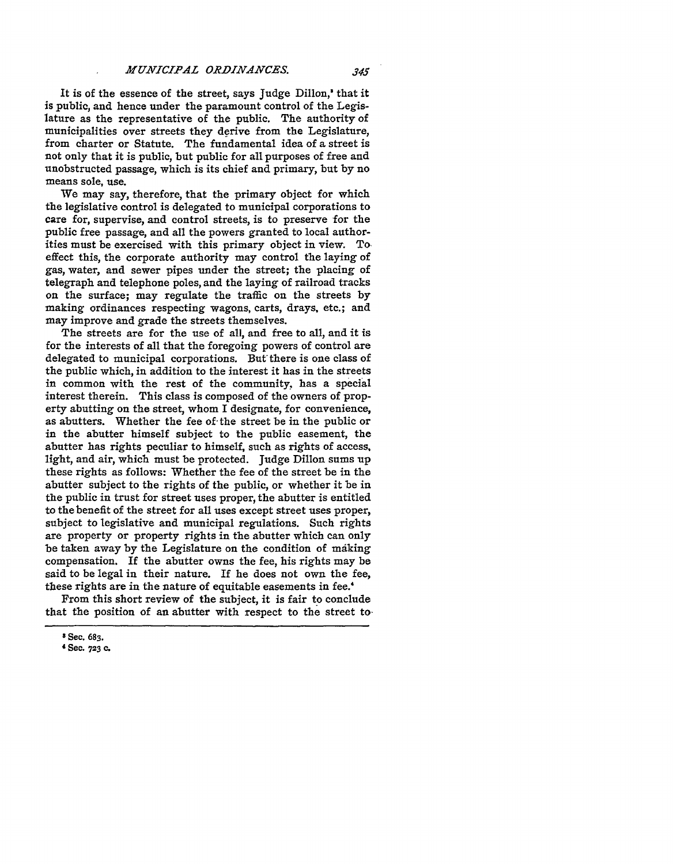It is of the essence of the street, says Judge Dillon,' that it is public, and hence under the paramount control of the Legislature as the representative of the public. The authority of municipalities over streets they derive from the Legislature, from charter or Statute. The fundamental idea of a street is not only that it is public, but public for all purposes of free and unobstructed passage, which is its chief and primary, but **by** no means sole, use.

We may say, therefore, that the primary object for which the legislative control is delegated to municipal corporations to care for, supervise, and control streets, is to preserve for the public free passage, and all the powers granted to local authorities must be exercised with this primary object in view. To effect this, the corporate authority may control the laying of gas, water, and sewer pipes under the street; the placing of telegraph and telephone poles, and the laying of railroad tracks on the surface; may regulate the traffic on the streets **by** making ordinances respecting wagons, carts, drays, etc.; and may improve and grade the streets themselves.

The streets are for the use of all, and free to all, and it is for the interests of all that the foregoing powers of control are delegated to municipal corporations. But there is one class of the public which, in addition to the interest it has in the streets in common with the rest of the community, has a special interest therein. This class is composed of the owners of property abutting on the street, whom I designate, for convenience, as abutters. Whether the fee of- the street be in the public or in the abutter himself subject to the public easement, the abutter has rights peculiar to himself, such as rights of access, light, and air, which must be protected. Judge Dillon sums up these rights as follows: Whether the fee of the street be in the abutter subject to the rights of the public, or whether it be in the public in trust for street uses proper, the abutter is entitled to the benefit of the street for all uses except street uses proper, subject to legislative and municipal regulations. Such rights are property or property rights in the abutter which can only be taken away by the Legislature on the condition of making compensation. If the abutter owns the fee, his rights may be said to be legal in their nature. If he does not own the fee, these rights are in the nature of equitable easements in fee.'

From this short review of the subject, it is fair to conclude that the position of an abutter with respect to the street to-

**<sup>3</sup>** Sec. **683.**

<sup>4</sup> Sec. **723 c.**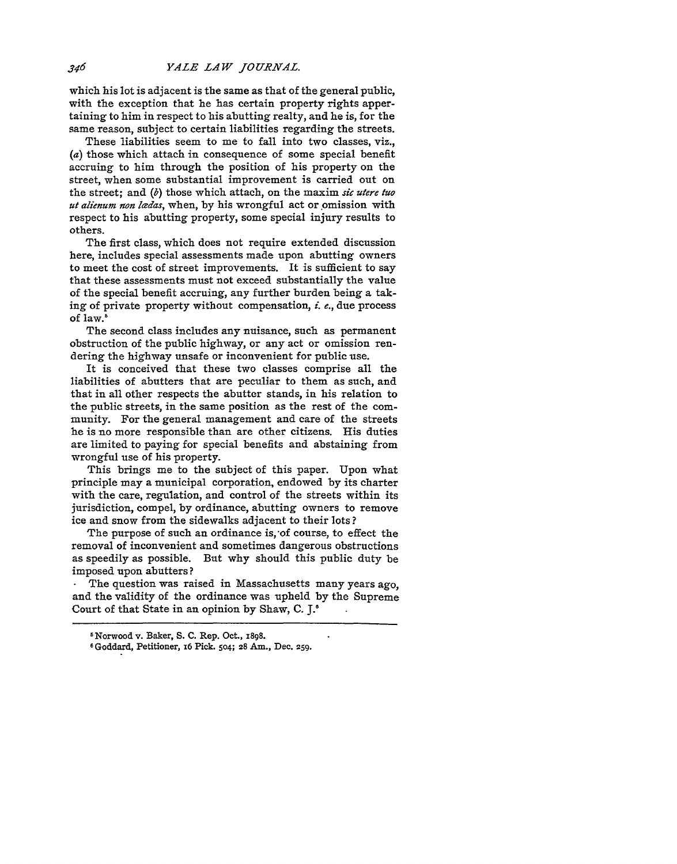which his lot is adjacent is the same as that of the general public, with the exception that he has certain property rights appertaining to him in respect to his abutting realty, and he is, for the same reason, subject to certain liabilities regarding the streets.

These liabilities seem to me to fall into two classes, viz., (a) those which attach in consequence of some special benefit accruing to him through the position of his property on the street, when some substantial improvement is carried out on the street; and **(b)** those which attach, on the maxim *sic utere tuo ut alienum non lædas*, when, by his wrongful act or omission with respect to his abutting property, some special injury results to others.

The first class, which does not require extended discussion here, includes special assessments made upon abutting owners to meet the cost of street improvements. It is sufficient to say that these assessments must not exceed substantially the value of the special benefit accruing, any further burden being a taking of private property without compensation, *i. e.,* due process of law.'

The second class includes any nuisance, such as permanent obstruction of the public highway, or any act or omission rendering the highway unsafe or inconvenient for public use.

It is conceived that these two classes comprise all the liabilities of abutters that are peculiar to them as such, and that in all other respects the abutter stands, in his relation to the public streets, in the same position as the rest of the community. For the general management and care of the streets he is no more responsible than are other citizens. His duties are limited to paying for special benefits and abstaining from wrongful use of his property.

This brings me to the subject of this paper. Upon what principle may a municipal corporation, endowed **by** its charter with the care, regulation, and control of the streets within its jurisdiction, compel, by ordinance, abutting owners to remove ice and snow from the sidewalks adjacent to their lots?

The purpose of such an ordinance is, of course, to effect the removal of inconvenient and sometimes dangerous obstructions as speedily as possible. But why should this public duty be imposed upon abutters?

**.** The question was raised in Massachusetts many years ago, and the validity of the ordinance was upheld **by** the Supreme Court of that State in an opinion by Shaw, C. J.6

346

<sup>5</sup>Norwood v. Baker, S. C. Rep. Oct., 1898. <sup>6</sup>

Goddard, Petitioner, 16 Pick. 5o4; **28** Am., Dec. **259.**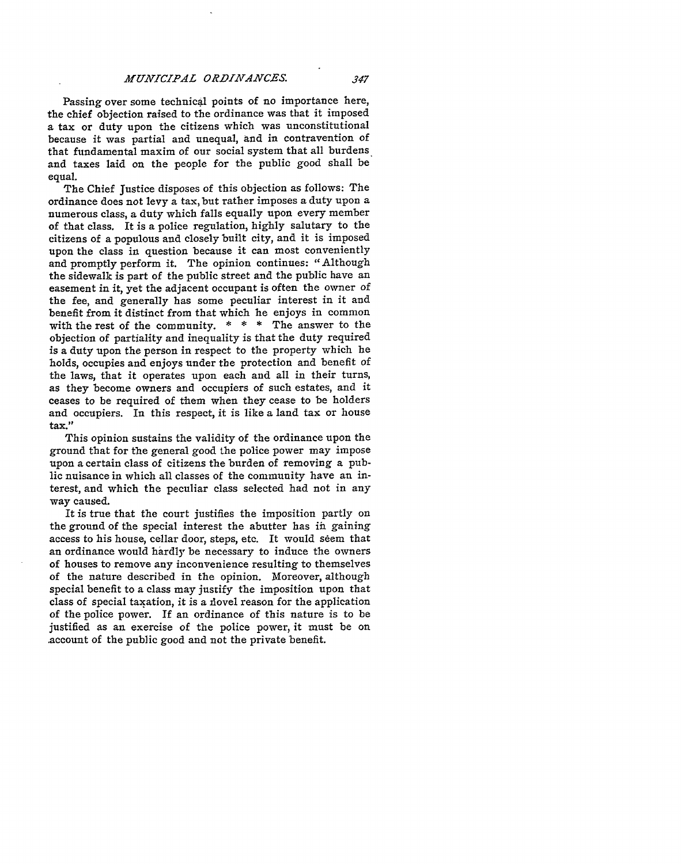## .M *UNICIPAL ORDINANCES.*

Passing over some technical points of no importance here, the chief objection raised to the ordinance was that it imposed a tax or duty upon the citizens which was unconstitutional because it was partial and unequal, and in contravention of that fundamental maxim of our social system that all burdens and taxes laid on the people for the public good shall be equal.

The Chief Justice disposes of this objection as follows: The ordinance does not levy a tax, but rather imposes a duty upon a numerous class, a duty which falls equally upon every member of that class. It is a police regulation, highly salutary to the citizens of a populous and closely built city, and it is imposed upon the class in question because it can most conveniently and promptly perform it. The opinion continues: "Although the sidewalk is part of the public street and the public have an easement in it, yet the adjacent occupant is often the owner of the fee, and generally has some peculiar interest in it and benefit from it distinct from that which he enjoys in common with the rest of the community.  $* * *$  The answer to the objection of partiality and inequality is that the duty required is a duty upon the person in respect to the property which he holds, occupies and enjoys under the protection and benefit of the laws, that it operates upon each and all in their turns, as they become owners and occupiers of such estates, and it ceases to be required of them when they cease to be holders and occupiers. In this respect, it is like a land tax or house tax."

This opinion sustains the validity of the ordinance upon the ground that for the general good the police power may impose upon a certain class of citizens the burden of removing a public nuisance in which all classes of the community have an interest, and which the peculiar class selected had not in any way caused.

It is true that the court justifies the imposition partly on the ground of the special interest the abutter has **ih** gaining access to his house, cellar door, steps, etc. It would seem that an ordinance would hardly be necessary to induce the owners of houses to remove any inconvenience resulting to themselves of the nature described in the opinion. Moreover, although special benefit to a class may justify the imposition upon that class of special taxation, it is a novel reason for the application of the police power. If an ordinance of this nature is to be justified as an exercise of the police power, it must be on .account of the public good and not the private benefit.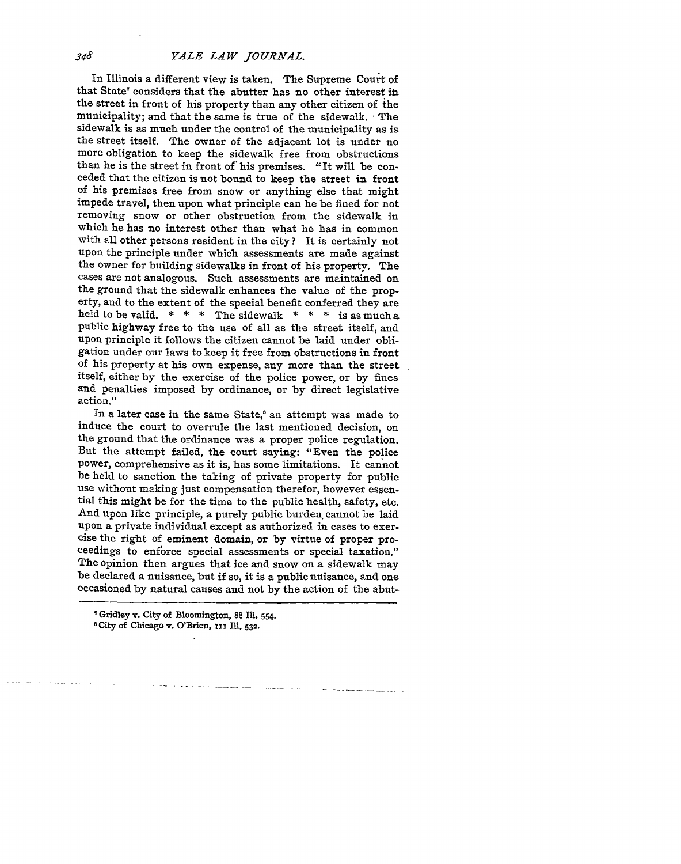In Illinois a different view is taken. The Supreme Court of that State' considers that the abutter has no other interest in the street in front of his property than any other citizen of the munieipality; and that the same is true of the sidewalk. **-** The sidewalk is as much under the control of the municipality as is the street itself. The owner of the adjacent lot is under no more obligation to keep the sidewalk free from obstructions than he is the street in front of his premises. "It will be conceded that the citizen is not bound to keep the street in front of his premises free from snow or anything else that might impede travel, then upon what principle can he be fined for not removing snow or other obstruction from the sidewalk in which he has no interest other than what he has in common with all other persons resident in the city? It is certainly not upon the principle under which assessments are made against the owner for building sidewalks in front of his property. The cases are not analogous. Such assessments are maintained on the ground that the sidewalk enhances the value of the property, and to the extent of the special benefit conferred they are held tobevalid. **\* \* \*** The sidewalk **\* \* \*** is as much a public highway free to the use of all as the street itself, and upon principle it follows the citizen cannot be laid under obligation under our laws to keep it free from obstructions in front of his property at his own expense, any more than the street itself, either **by** the exercise of the police power, or **by** fines and penalties imposed by ordinance, or by direct legislative action."

In a later case in the same State,<sup>8</sup> an attempt was made to induce the court to overrule the last mentioned decision, on the ground that the ordinance was a proper police regulation. But the attempt failed, the court saying: "Even the police power, comprehensive as it is, has some limitations. It cannot be held to sanction the taking of private property for public use without making just compensation therefor, however essential this might be for the time to the public health, safety, etc. And upon like principle, a purely public burden cannot be laid upon a private individual except as authorized in cases to exercise the right of eminent domain, or **by** virtue of proper proceedings to enforce special assessments or special taxation." The opinion then argues that ice and snow on a sidewalk may be declared a nuisance, but if so, it is a public nuisance, and one occasioned **by** natural causes and not **by** the action of the abut-

**<sup>&#</sup>x27;** Gridley v. City of Bloomington, 88 **Ill.** 554. **8City** of Chicago v. O'Brien, **III** Ill. **532.**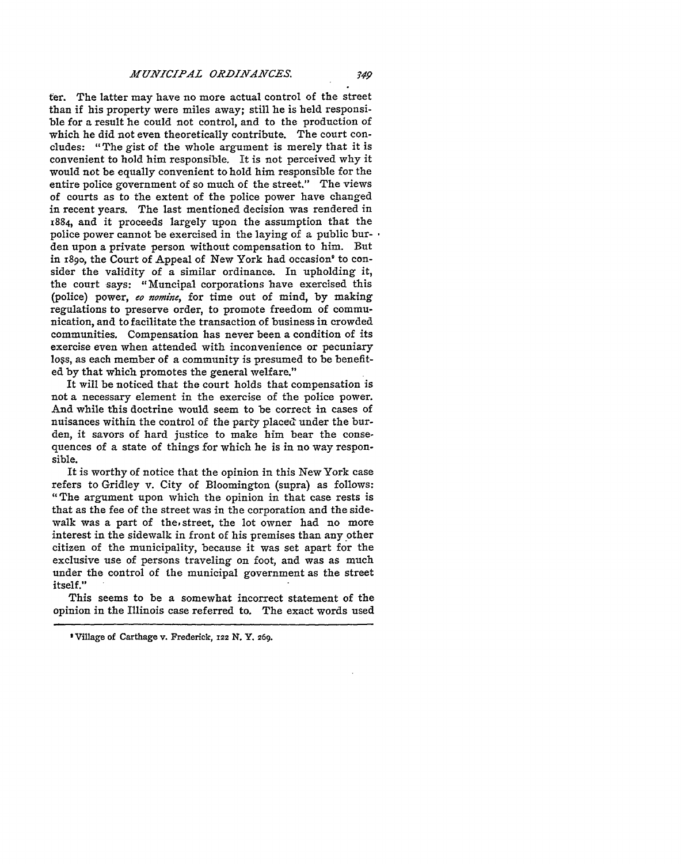ter. The latter may have no more actual control of the street than if his property were miles away; still he is held responsible for a result he could not control, and to the production of which he did not even theoretically contribute. The court concludes: "The gist of the whole argument is merely that it is convenient to hold him responsible. It is not perceived why it would not be equally convenient to hold him responsible for the entire police government of so much of the street." The views of courts as to the extent of the police power have changed in recent years. The last mentioned decision was rendered in **1884,** and it proceeds largely upon the assumption that the police power cannot be exercised in the laying of a public burden upon a private person without compensation to him. But in **x89o,** the Court of Appeal of New York had occasion' to consider the validity of a similar ordinance. In upholding it, the court says: "Muncipal corporations have exercised this (police) power, *eo nomine*, for time out of mind, by making regulations to preserve order, to promote freedom of communication, and to facilitate the transaction of business in crowded communities. Compensation has never been a condition of its exercise even when attended with inconvenience or pecuniary loss, as each member of a community is presumed to be benefited **by** that which promotes the general welfare."

It will be noticed that the court holds that compensation is not a necessary element in the exercise of the police power. And while this doctrine would seem to be correct in cases of nuisances within the control of the party placed under the burden, it savors of hard justice to make him bear the consequences of a state of things for which he is in no way responsible.

It is worthy of notice that the opinion in this New York case refers to Gridley v. City of Bloomington (supra) as follows: "The argument upon which the opinion in that case rests is that as the fee of the street was in the corporation and the sidewalk was a part of the, street, the lot owner had no more interest in the sidewalk in front of his premises than any other citizen of the municipality, because it was set apart for the exclusive use of persons traveling on foot, and was as much under the control of the municipal government as the street itself."

This seems to be a somewhat incorrect statement of the opinion in the Illinois case referred to. The exact words used

**I** Village of Carthage v. Frederick, **122** *N.* Y. **269.**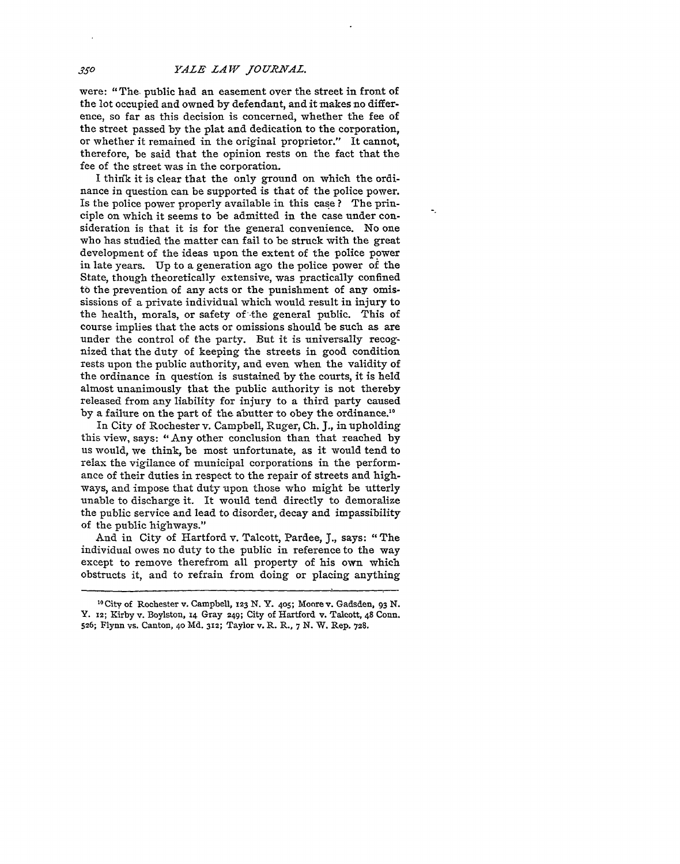were: "The, public had an easement over the street in front of the lot occupied and owned **by** defendant, and it makes no difference, so far as this decision is concerned, whether the fee of the street passed **by** the plat and dedication to the corporation, or whether it remained in the original proprietor." It cannot, therefore, be said that the opinion rests on the fact that the fee of **the** street was in the corporation.

I think it is clear that the only ground on which the ordinance in question can be supported is that of the police power. Is the police power properly available in this case? The principle on which it seems to be admitted in the case under consideration is that it is for the general convenience. No one who has studied the matter can fail to be struck with the great development of the ideas upon the extent of the police power in late years. **Up** to a generation ago the police power of the State, though theoretically extensive, was practically confined to the prevention of any acts or the punishment of any omississions of a private individual which would result in injury to the health, morals, or safety of the general public. This of course implies that the acts or omissions should be such as are under the control of the party. But it is universally recognized that the duty of keeping the streets in good condition rests upon the public authority, and even when the validity of the ordinance in question is sustained **by** the courts, it is held almost unanimously that the public authority is not thereby released from any liability for injury to a third party caused **by** a failure on the part of the abutter to obey the ordinance."

In City of Rochester v. Campbell, Ruger, **Ch.** J., in upholding this view, says: "Any other conclusion than that reached **by** us would, we think, be most unfortunate, as it would tend to relax the vigilance of municipal corporations in the performance of their duties in respect to the repair of streets and highways, and impose that duty upon those who might be utterly unable to discharge it. It would tend directly to demoralize the public service and lead to disorder, decay and impassibility of the public highways."

And in City of Hartford v. Talcott, Pardee, **J.,** says: "The individual owes no duty to the public in reference to the way except to remove therefrom all property of his own which obstructs it, and to refrain from doing or placing anything

<sup>1</sup> 0City of Rochester v. Campbell, **123** N. Y. 4o5; Moore v. Gadsden, 93 N. Y. **12;** Kirby v. Boylston, 14 Gray 249; City of Hartford v. Talcott, 48 Conn. **526;** Flynn vs. Canton, 40 **Md. 312;** Taylor v. R. R., **7** N. W. Rep. **728.**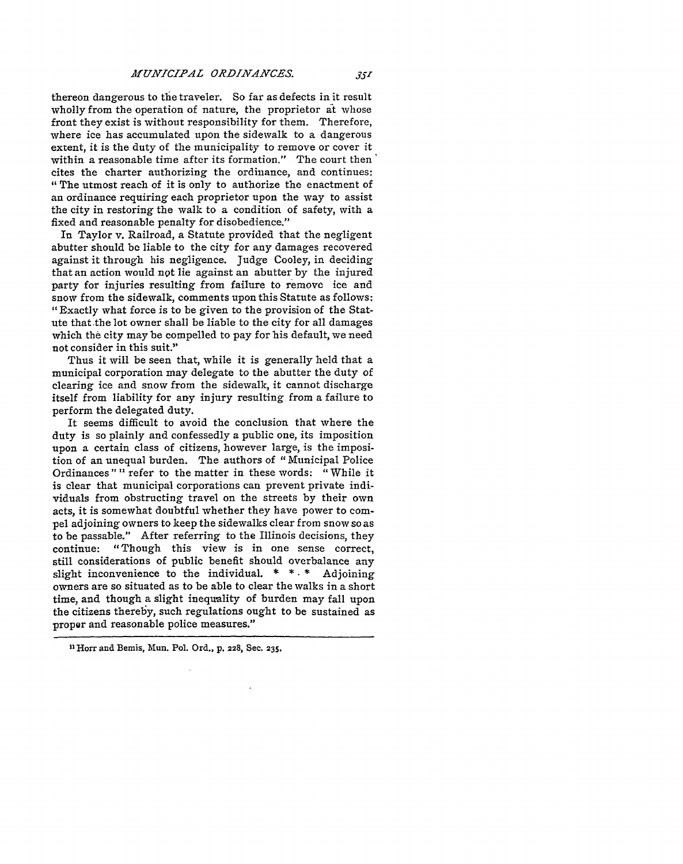thereon dangerous to the traveler. So far as defects in it result wholly from the operation of nature, the proprietor at whose front they exist is without responsibility for them. Therefore, where ice has accumulated upon the sidewalk to a dangerous extent, it is the duty of the municipality to remove or cover it within a reasonable time after its formation." The court then cites the charter authorizing the ordinance, and continues: "The utmost reach of it is only to authorize the enactment of an ordinance requiring each proprietor upon the way to assist the city in restoring the walk to a condition of safety, with a fixed and reasonable penalty for disobedience."

In Taylor v. Railroad, a Statute provided that the negligent abutter should **be** liable to the city for any damages recovered against it through his negligence. Judge Cooley, in deciding that an action would **not** lie against an abutter by the injured party for injuries resulting from failure to remove ice and snow from the sidewalk, comments upon this Statute as follows: "Exactly what force is to be given to the provision of the Statute that the lot owner shall be liable to the city for all damages which the city may be compelled to pay for his default, we need not consider in this suit."

Thus it will be seen that, while it is generally held that a municipal corporation may delegate to the abutter the duty of clearing ice and snow from the sidewalk, it cannot discharge itself from liability for any injury resulting from a failure to perform the delegated duty.

It seems difficult to avoid the conclusion that where the duty is so plainly and confessedly a public one, its imposition upon a certain class of citizens, however large, is the imposition of an unequal burden. The authors of "Municipal Police Ordinances" **"** refer to the matter in these words: "While it is clear that municipal corporations can prevent private individuals from obstructing travel on the streets by their own acts, it is somewhat doubtful whether they have power to compel adjoining owners to keep the sidewalks clear from snow so as to be passable." After referring to the Illinois decisions, they continue: "Though this view is in one sense correct, still considerations of public benefit should overbalance any slight inconvenience to the individual. **\* \*- \*** Adjoining owners are so situated as to be able to clear the walks in a short time, and though a slight inequality of burden may fall upon the citizens thereby, such regulations ought to be sustained as proper and reasonable police measures."

 $\overline{a}$ 

**<sup>11</sup>** Horr and Bemis, Mun. Pol. Ord., **p.** 228, Sec. **235.**